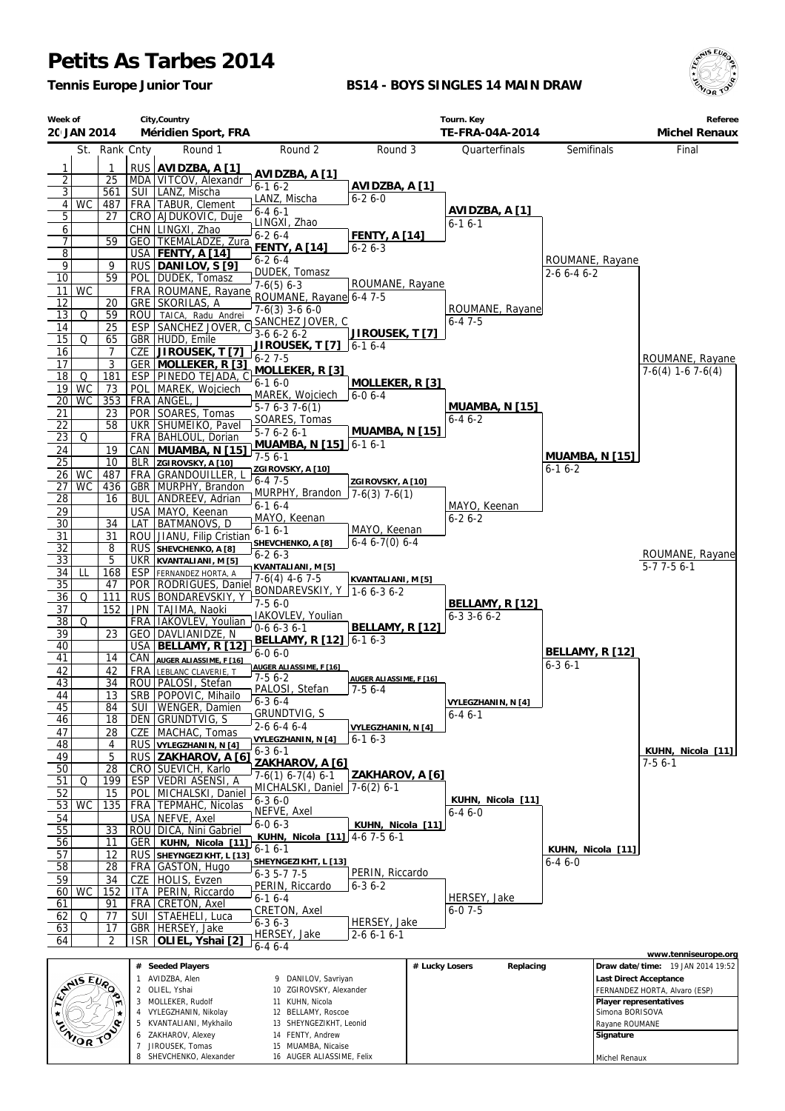## **Petits As Tarbes 2014**

8 SHEVCHENKO, Alexander

16 AUGER ALIASSIME, Felix

*Tennis Europe Junior Tour*

## **BS14 - BOYS SINGLES 14 MAIN DRAW**



Michel Renaux